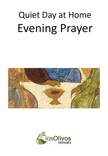# Quiet Day at Home Evening Prayer



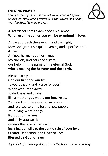#### **EVENING PRAYER**

*Sources: John of the Cross (Fonte), New Zealand Anglican Church Liturgy (Evening Prayer & Night Prayer) Iona Abbey Worship Book (Evening Prayer).*



#### Al atardecer serás examinado en el amor. **When evening comes you will be examined in love.**

As we approach the evening and the night, May God grant us a quiet evening and a perfect end. **Amen.**

Amigos, hermanos y hermanas, My friends, brothers and sisters, our help is in the name of the eternal God, **who is making the heavens and the earth.**

Blessed are you, God our light and our life, to you be glory and praise for ever! When we turned away to darkness and chaos, like a mother you would not forsake us. You cried out like a woman in labour and rejoiced to bring forth a new people. Your living Word brings light out of darkness and daily your Spirit renews the face of the earth, inclining our wills to the gentle rule of your love, Creator, Redeemer, and Giver of Life: **Blessed be God for ever!**

*A period of silence follows for reflection on the past day.*